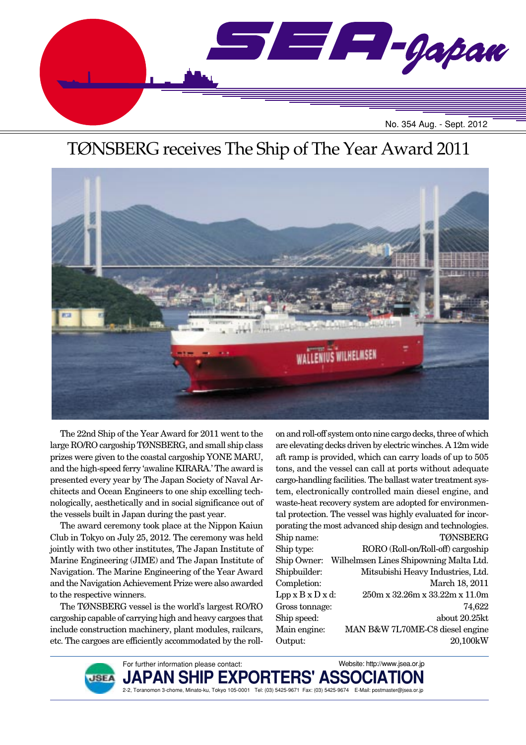

# TØNSBERG receives The Ship of The Year Award 2011



The 22nd Ship of the Year Award for 2011 went to the large RO/RO cargoship TØNSBERG, and small ship class prizes were given to the coastal cargoship YONE MARU, and the high-speed ferry 'awaline KIRARA.' The award is presented every year by The Japan Society of Naval Architects and Ocean Engineers to one ship excelling technologically, aesthetically and in social significance out of the vessels built in Japan during the past year.

The award ceremony took place at the Nippon Kaiun Club in Tokyo on July 25, 2012. The ceremony was held jointly with two other institutes, The Japan Institute of Marine Engineering (JIME) and The Japan Institute of Navigation. The Marine Engineering of the Year Award and the Navigation Achievement Prize were also awarded to the respective winners.

The TØNSBERG vessel is the world's largest RO/RO cargoship capable of carrying high and heavy cargoes that include construction machinery, plant modules, railcars, etc. The cargoes are efficiently accommodated by the rollon and roll-off system onto nine cargo decks, three of which are elevating decks driven by electric winches. A 12m wide aft ramp is provided, which can carry loads of up to 505 tons, and the vessel can call at ports without adequate cargo-handling facilities. The ballast water treatment system, electronically controlled main diesel engine, and waste-heat recovery system are adopted for environmental protection. The vessel was highly evaluated for incorporating the most advanced ship design and technologies. Ship name: TØNSBERG Ship type: RORO (Roll-on/Roll-off) cargoship Ship Owner: Wilhelmsen Lines Shipowning Malta Ltd. Shipbuilder: Mitsubishi Heavy Industries, Ltd. Completion: March 18, 2011 Lpp x B x D x d: 250m x 32.26m x 33.22m x 11.0m Gross tonnage: 74,622 Ship speed: about 20.25kt Main engine: MAN B&W 7L70ME-C8 diesel engine Output: 20,100kW



For further information please contact: PAN SH 2-2, Toranomon 3-chome, Minato-ku, Tokyo 105-0001 Tel: (03) 5425-9671 Fax: (03) 5425-9674 E-Mail: postmaster@jsea.or.jp Website: http://www.jsea.or.jp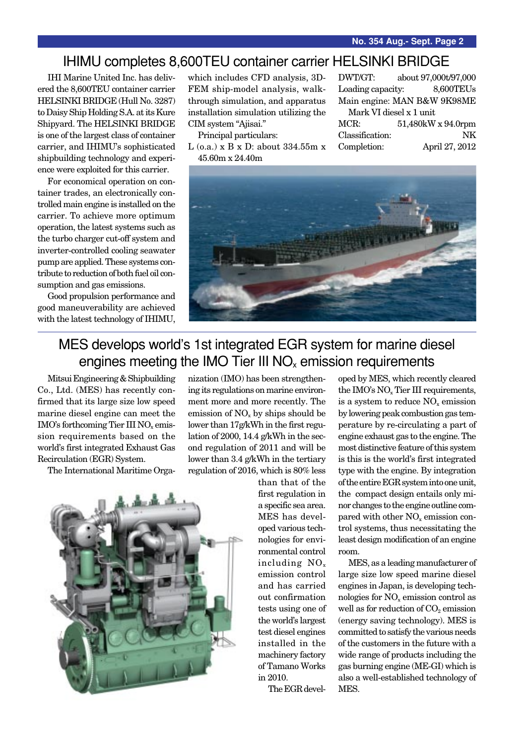## IHIMU completes 8,600TEU container carrier HELSINKI BRIDGE

IHI Marine United Inc. has delivered the 8,600TEU container carrier HELSINKI BRIDGE (Hull No. 3287) to Daisy Ship Holding S.A. at its Kure Shipyard. The HELSINKI BRIDGE is one of the largest class of container carrier, and IHIMU's sophisticated shipbuilding technology and experience were exploited for this carrier.

For economical operation on container trades, an electronically controlled main engine is installed on the carrier. To achieve more optimum operation, the latest systems such as the turbo charger cut-off system and inverter-controlled cooling seawater pump are applied. These systems contribute to reduction of both fuel oil consumption and gas emissions.

Good propulsion performance and good maneuverability are achieved with the latest technology of IHIMU, which includes CFD analysis, 3D-FEM ship-model analysis, walkthrough simulation, and apparatus installation simulation utilizing the CIM system "Ajisai."

Principal particulars:

L (o.a.) x B x D: about 334.55m x 45.60m x 24.40m

DWT/GT: about 97,000t/97,000 Loading capacity: 8,600TEUs Main engine: MAN B&W 9K98ME Mark VI diesel x 1 unit

MCR: 51,480kW x 94.0rpm Classification: NK Completion: April 27, 2012



# MES develops world's 1st integrated EGR system for marine diesel engines meeting the IMO Tier III  $NO<sub>x</sub>$  emission requirements

Mitsui Engineering & Shipbuilding Co., Ltd. (MES) has recently confirmed that its large size low speed marine diesel engine can meet the  $IMO's$  forthcoming Tier III  $NO<sub>x</sub>$  emission requirements based on the world's first integrated Exhaust Gas Recirculation (EGR) System.

The International Maritime Orga-

nization (IMO) has been strengthening its regulations on marine environment more and more recently. The emission of  $NO<sub>x</sub>$  by ships should be lower than 17g/kWh in the first regulation of 2000, 14.4 g/kWh in the second regulation of 2011 and will be lower than 3.4 g/kWh in the tertiary regulation of 2016, which is 80% less

than that of the first regulation in a specific sea area. MES has developed various technologies for environmental control including NOx emission control and has carried out confirmation tests using one of the world's largest test diesel engines installed in the machinery factory of Tamano Works in 2010.

The EGR devel-

oped by MES, which recently cleared the IMO's NOx Tier III requirements, is a system to reduce  $NO<sub>x</sub>$  emission by lowering peak combustion gas temperature by re-circulating a part of engine exhaust gas to the engine. The most distinctive feature of this system is this is the world's first integrated type with the engine. By integration of the entire EGR system into one unit, the compact design entails only minor changes to the engine outline compared with other  $NO<sub>x</sub>$  emission control systems, thus necessitating the least design modification of an engine room.

MES, as a leading manufacturer of large size low speed marine diesel engines in Japan, is developing technologies for NO<sub>x</sub> emission control as well as for reduction of  $CO<sub>2</sub>$  emission (energy saving technology). MES is committed to satisfy the various needs of the customers in the future with a wide range of products including the gas burning engine (ME-GI) which is also a well-established technology of MES.

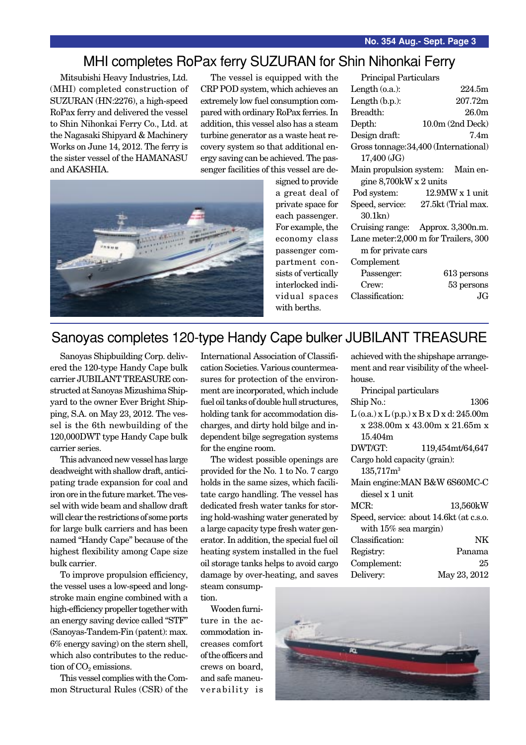### MHI completes RoPax ferry SUZURAN for Shin Nihonkai Ferry

Mitsubishi Heavy Industries, Ltd. (MHI) completed construction of SUZURAN (HN:2276), a high-speed RoPax ferry and delivered the vessel to Shin Nihonkai Ferry Co., Ltd. at the Nagasaki Shipyard & Machinery Works on June 14, 2012. The ferry is the sister vessel of the HAMANASU and AKASHIA.

The vessel is equipped with the CRP POD system, which achieves an extremely low fuel consumption compared with ordinary RoPax ferries. In addition, this vessel also has a steam turbine generator as a waste heat recovery system so that additional energy saving can be achieved. The passenger facilities of this vessel are de-



signed to provide a great deal of private space for each passenger. For example, the economy class passenger compartment consists of vertically interlocked individual spaces with berths.

| Principal Particulars     |                                       |
|---------------------------|---------------------------------------|
| Length $(0.a.)$ :         | 224.5m                                |
| Length $(b.p.):$          | 207.72m                               |
| Breadth:                  | 26.0 <sub>m</sub>                     |
| Depth:                    | $10.0m$ (2nd Deck)                    |
| Design draft:             | 7.4m                                  |
|                           | Gross tonnage: 34,400 (International) |
| 17,400 (JG)               |                                       |
|                           | Main propulsion system: Main en-      |
| gine $8,700$ kW x 2 units |                                       |
| Pod system:               | $12.9$ MW x 1 unit                    |
| Speed, service:           | 27.5kt (Trial max.                    |
| $30.1$ kn $)$             |                                       |
|                           | Cruising range: Approx. 3,300n.m.     |
|                           | Lane meter: 2,000 m for Trailers, 300 |
| m for private cars        |                                       |
|                           |                                       |
| Complement                |                                       |
| Passenger:                | 613 persons                           |
| Crew:                     | 53 persons                            |

## Sanoyas completes 120-type Handy Cape bulker JUBILANT TREASURE

Sanoyas Shipbuilding Corp. delivered the 120-type Handy Cape bulk carrier JUBILANT TREASURE constructed at Sanoyas Mizushima Shipyard to the owner Ever Bright Shipping, S.A. on May 23, 2012. The vessel is the 6th newbuilding of the 120,000DWT type Handy Cape bulk carrier series.

This advanced new vessel has large deadweight with shallow draft, anticipating trade expansion for coal and iron ore in the future market. The vessel with wide beam and shallow draft will clear the restrictions of some ports for large bulk carriers and has been named "Handy Cape" because of the highest flexibility among Cape size bulk carrier.

To improve propulsion efficiency, the vessel uses a low-speed and longstroke main engine combined with a high-efficiency propeller together with an energy saving device called "STF" (Sanoyas-Tandem-Fin (patent): max. 6% energy saving) on the stern shell, which also contributes to the reduction of  $CO<sub>2</sub>$  emissions.

This vessel complies with the Common Structural Rules (CSR) of the International Association of Classification Societies. Various countermeasures for protection of the environment are incorporated, which include fuel oil tanks of double hull structures, holding tank for accommodation discharges, and dirty hold bilge and independent bilge segregation systems for the engine room.

The widest possible openings are provided for the No. 1 to No. 7 cargo holds in the same sizes, which facilitate cargo handling. The vessel has dedicated fresh water tanks for storing hold-washing water generated by a large capacity type fresh water generator. In addition, the special fuel oil heating system installed in the fuel oil storage tanks helps to avoid cargo damage by over-heating, and saves steam consump-

tion.

Wooden furniture in the accommodation increases comfort of the officers and crews on board, and safe maneuverability is achieved with the shipshape arrangement and rear visibility of the wheelhouse.

| Principal particulars        |                                                  |
|------------------------------|--------------------------------------------------|
| Ship No.:                    | 1306                                             |
|                              | $L$ (o.a.) x $L$ (p.p.) x $B$ x $D$ x d: 245.00m |
|                              | x 238.00m x 43.00m x 21.65m x                    |
| 15.404m                      |                                                  |
| DWT/GT:                      | 119,454mt/64,647                                 |
| Cargo hold capacity (grain): |                                                  |
| 135,717m <sup>3</sup>        |                                                  |
|                              | Main engine: MAN B&W 6S60MC-C                    |
| diesel x 1 unit              |                                                  |
| MCR:                         | 13,560kW                                         |
|                              | Speed, service: about 14.6kt (at c.s.o.          |
| with $15\%$ sea margin)      |                                                  |
| Classification:              | NΚ                                               |
| Registry:                    | Panama                                           |
| Complement:                  | 25                                               |
| Delivery:                    | May 23, 2012                                     |

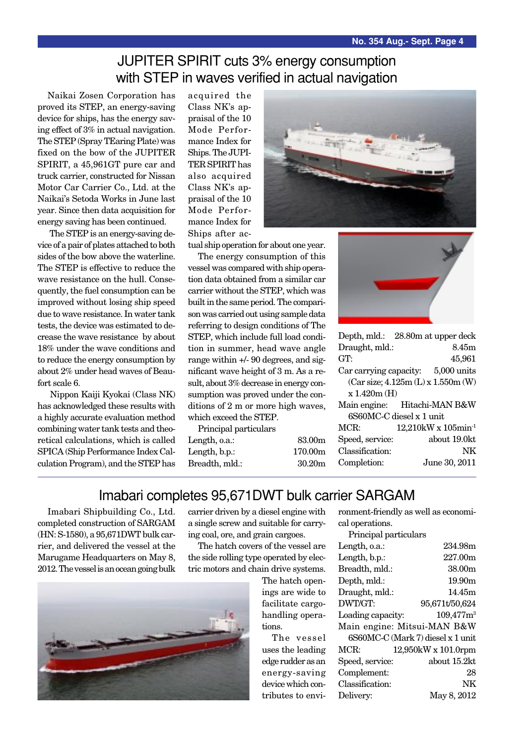# JUPITER SPIRIT cuts 3% energy consumption with STEP in waves verified in actual navigation

Naikai Zosen Corporation has proved its STEP, an energy-saving device for ships, has the energy saving effect of 3% in actual navigation. The STEP (Spray TEaring Plate) was fixed on the bow of the JUPITER SPIRIT, a 45,961GT pure car and truck carrier, constructed for Nissan Motor Car Carrier Co., Ltd. at the Naikai's Setoda Works in June last year. Since then data acquisition for energy saving has been continued.

 The STEP is an energy-saving device of a pair of plates attached to both sides of the bow above the waterline. The STEP is effective to reduce the wave resistance on the hull. Consequently, the fuel consumption can be improved without losing ship speed due to wave resistance. In water tank tests, the device was estimated to decrease the wave resistance by about 18% under the wave conditions and to reduce the energy consumption by about 2% under head waves of Beaufort scale 6.

 Nippon Kaiji Kyokai (Class NK) has acknowledged these results with a highly accurate evaluation method combining water tank tests and theoretical calculations, which is called SPICA (Ship Performance Index Calculation Program), and the STEP has acquired the Class NK's appraisal of the 10 Mode Performance Index for Ships. The JUPI-TER SPIRIT has also acquired Class NK's appraisal of the 10 Mode Performance Index for Ships after ac-



tual ship operation for about one year.

The energy consumption of this vessel was compared with ship operation data obtained from a similar car carrier without the STEP, which was built in the same period. The comparison was carried out using sample data referring to design conditions of The STEP, which include full load condition in summer, head wave angle range within +/- 90 degrees, and significant wave height of 3 m. As a result, about 3% decrease in energy consumption was proved under the conditions of 2 m or more high waves, which exceed the STEP.

Principal particulars Length, o.a.: 83.00m Length, b.p.: 170.00m Breadth, mld.: 30.20m



| Depth, mld.: 28.80m at upper deck   |                                       |
|-------------------------------------|---------------------------------------|
| Draught, mld.:                      | 8.45m                                 |
| GT:                                 | 45,961                                |
| Car carrying capacity: 5,000 units  |                                       |
| (Car size; 4.125m (L) x 1.550m (W)) |                                       |
| x 1.420m(H)                         |                                       |
| Main engine: Hitachi-MAN B&W        |                                       |
| 6S60MC-C diesel x 1 unit            |                                       |
| MCR:                                | $12,210$ kW x $105$ min <sup>-1</sup> |
| Speed, service:                     | about 19.0kt                          |
| Classification:                     | NK                                    |
| Completion:                         | June 30, 2011                         |

#### Imabari completes 95,671DWT bulk carrier SARGAM

Imabari Shipbuilding Co., Ltd. completed construction of SARGAM (HN: S-1580), a 95,671DWT bulk carrier, and delivered the vessel at the Marugame Headquarters on May 8, 2012. The vessel is an ocean going bulk

carrier driven by a diesel engine with a single screw and suitable for carrying coal, ore, and grain cargoes.

The hatch covers of the vessel are the side rolling type operated by electric motors and chain drive systems.

> The hatch openings are wide to facilitate cargohandling operations.

The vessel uses the leading edge rudder as an energy-saving device which contributes to environment-friendly as well as economical operations.

Principal particulars

| r rintipar partitulars |                                   |
|------------------------|-----------------------------------|
| Length, o.a.:          | 234.98m                           |
| Length, b.p.:          | 227.00m                           |
| Breadth, mld.:         | 38.00m                            |
| Depth, mld.:           | 19.90m                            |
| Draught, mld.:         | 14.45m                            |
| DWT/GT:                | 95,671t/50,624                    |
| Loading capacity:      | $109,477m^3$                      |
|                        | Main engine: Mitsui-MAN B&W       |
|                        | 6S60MC-C (Mark 7) diesel x 1 unit |
| MCR:                   | 12,950kW x 101.0rpm               |
| Speed, service:        | about 15.2kt                      |
| Complement:            | 28                                |
| Classification:        | NK                                |
| Delivery:              | May 8, 2012                       |

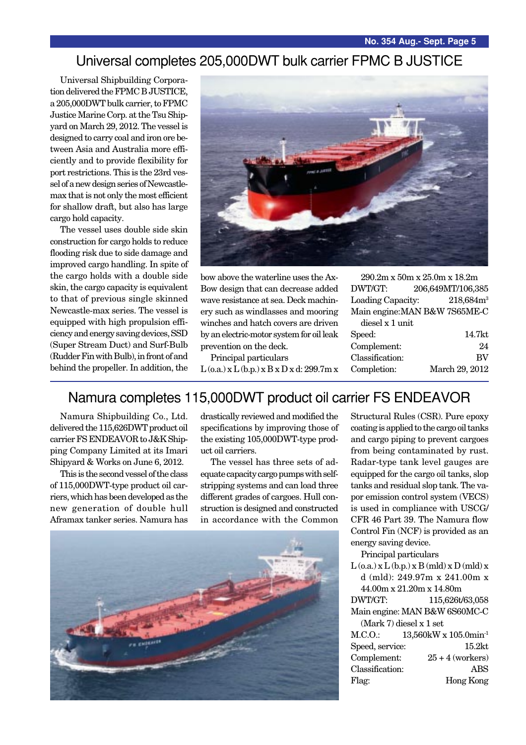### Universal completes 205,000DWT bulk carrier FPMC B JUSTICE

Universal Shipbuilding Corporation delivered the FPMC B JUSTICE, a 205,000DWT bulk carrier, to FPMC Justice Marine Corp. at the Tsu Shipyard on March 29, 2012. The vessel is designed to carry coal and iron ore between Asia and Australia more efficiently and to provide flexibility for port restrictions. This is the 23rd vessel of a new design series of Newcastlemax that is not only the most efficient for shallow draft, but also has large cargo hold capacity.

The vessel uses double side skin construction for cargo holds to reduce flooding risk due to side damage and improved cargo handling. In spite of the cargo holds with a double side skin, the cargo capacity is equivalent to that of previous single skinned Newcastle-max series. The vessel is equipped with high propulsion efficiency and energy saving devices, SSD (Super Stream Duct) and Surf-Bulb (Rudder Fin with Bulb), in front of and behind the propeller. In addition, the



bow above the waterline uses the Ax-Bow design that can decrease added wave resistance at sea. Deck machinery such as windlasses and mooring winches and hatch covers are driven by an electric-motor system for oil leak prevention on the deck.

Principal particulars  $L$  (o.a.)  $x L$  (b.p.)  $x B x D x d$ : 299.7m  $x$ 

290.2m x 50m x 25.0m x 18.2m DWT/GT: 206,649MT/106,385 Loading Capacity: 218,684m<sup>3</sup> Main engine:MAN B&W 7S65ME-C

| 14.7kt         |
|----------------|
| 24             |
| <b>BV</b>      |
| March 29, 2012 |
|                |

# Namura completes 115,000DWT product oil carrier FS ENDEAVOR

Namura Shipbuilding Co., Ltd. delivered the 115,626DWT product oil carrier FS ENDEAVOR to J&K Shipping Company Limited at its Imari Shipyard & Works on June 6, 2012.

This is the second vessel of the class of 115,000DWT-type product oil carriers, which has been developed as the new generation of double hull Aframax tanker series. Namura has drastically reviewed and modified the specifications by improving those of the existing 105,000DWT-type product oil carriers.

The vessel has three sets of adequate capacity cargo pumps with selfstripping systems and can load three different grades of cargoes. Hull construction is designed and constructed in accordance with the Common

![](_page_4_Picture_14.jpeg)

Structural Rules (CSR). Pure epoxy coating is applied to the cargo oil tanks and cargo piping to prevent cargoes from being contaminated by rust. Radar-type tank level gauges are equipped for the cargo oil tanks, slop tanks and residual slop tank. The vapor emission control system (VECS) is used in compliance with USCG/ CFR 46 Part 39. The Namura flow Control Fin (NCF) is provided as an energy saving device.

Principal particulars

 $L$  (o.a.)  $x L$  (b.p.)  $x B$  (mld)  $x D$  (mld)  $x$ d (mld): 249.97m x 241.00m x 44.00m x 21.20m x 14.80m DWT/GT: 115,626t/63,058

Main engine: MAN B&W 6S60MC-C (Mark 7) diesel x 1 set

| M.C.O.          | $13,560$ kW x $105.0$ min <sup>-1</sup> |
|-----------------|-----------------------------------------|
| Speed, service: | 15.2 <sub>kt</sub>                      |
| Complement:     | $25 + 4$ (workers)                      |
| Classification: | ABS                                     |
| Flag:           | Hong Kong                               |
|                 |                                         |